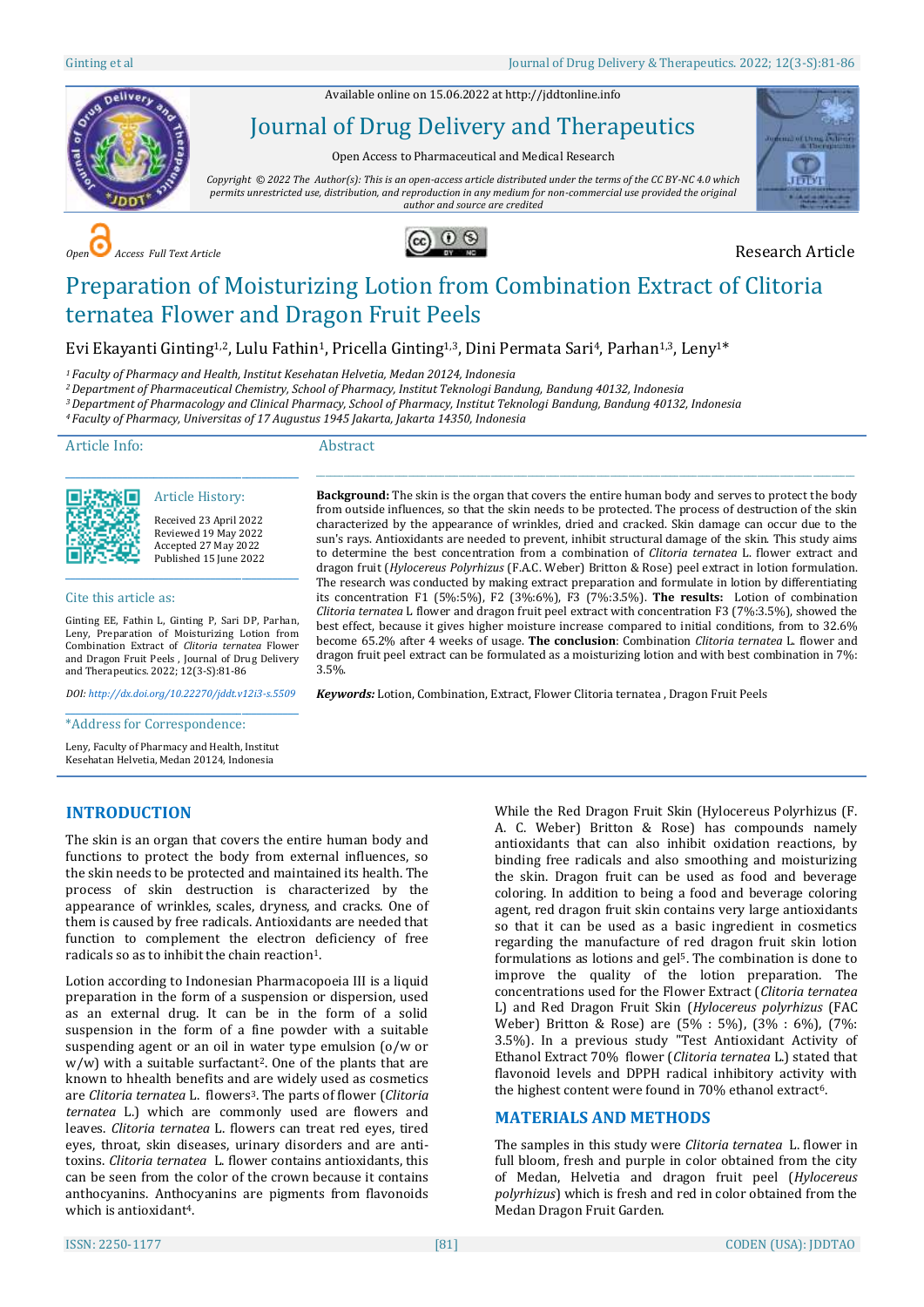Available online on 15.06.2022 a[t http://jddtonline.info](http://jddtonline.info/)



# Journal of Drug Delivery and Therapeutics

Open Access to Pharmaceutical and Medical Research

*Copyright © 2022 The Author(s): This is an open-access article distributed under the terms of the CC BY-NC 4.0 which permits unrestricted use, distribution, and reproduction in any medium for non-commercial use provided the original author and source are credited*







# Preparation of Moisturizing Lotion from Combination Extract of Clitoria ternatea Flower and Dragon Fruit Peels

Evi Ekayanti Ginting<sup>1,2</sup>, Lulu Fathin<sup>1</sup>, Pricella Ginting<sup>1,3</sup>, Dini Permata Sari<sup>4</sup>, Parhan<sup>1,3</sup>, Lenv<sup>1\*</sup>

*<sup>1</sup> Faculty of Pharmacy and Health, Institut Kesehatan Helvetia, Medan 20124, Indonesia*

*<sup>2</sup>Department of Pharmaceutical Chemistry, School of Pharmacy, Institut Teknologi Bandung, Bandung 40132, Indonesia*

*<sup>3</sup>Department of Pharmacology and Clinical Pharmacy, School of Pharmacy, Institut Teknologi Bandung, Bandung 40132, Indonesia*

*<sup>4</sup> Faculty of Pharmacy, Universitas of 17 Augustus 1945 Jakarta, Jakarta 14350, Indonesia*

Article Info:

#### Abstract

3.5%.

Article History:

\_\_\_\_\_\_\_\_\_\_\_\_\_\_\_\_\_\_\_\_\_\_\_\_\_\_\_\_\_\_\_\_\_\_\_\_\_\_\_\_\_\_\_\_\_

Received 23 April 2022 Reviewed 19 May 2022 Accepted 27 May 2022 Published 15 June 2022

#### Cite this article as:

Ginting EE, Fathin L, Ginting P, Sari DP, Parhan, Leny, Preparation of Moisturizing Lotion from Combination Extract of *Clitoria ternatea* Flower and Dragon Fruit Peels , Journal of Drug Delivery and Therapeutics. 2022; 12(3-S):81-86

\_\_\_\_\_\_\_\_\_\_\_\_\_\_\_\_\_\_\_\_\_\_\_\_\_\_\_\_\_\_\_\_\_\_\_\_\_\_\_\_\_\_\_\_\_

*DOI[: http://dx.doi.org/10.22270/jddt.v12i3-s.5509](http://dx.doi.org/10.22270/jddt.v12i3-s.5509)* 

\_\_\_\_\_\_\_\_\_\_\_\_\_\_\_\_\_\_\_\_\_\_\_\_\_\_\_\_\_\_\_\_\_\_\_\_\_\_\_\_\_\_\_\_\_

\*Address for Correspondence:

Leny, Faculty of Pharmacy and Health, Institut Kesehatan Helvetia, Medan 20124, Indonesia

# **INTRODUCTION**

The skin is an organ that covers the entire human body and functions to protect the body from external influences, so the skin needs to be protected and maintained its health. The process of skin destruction is characterized by the appearance of wrinkles, scales, dryness, and cracks. One of them is caused by free radicals. Antioxidants are needed that function to complement the electron deficiency of free radicals so as to inhibit the chain reaction<sup>1</sup>.

Lotion according to Indonesian Pharmacopoeia III is a liquid preparation in the form of a suspension or dispersion, used as an external drug. It can be in the form of a solid suspension in the form of a fine powder with a suitable suspending agent or an oil in water type emulsion (o/w or w/w) with a suitable surfactant<sup>2</sup>. One of the plants that are known to hhealth benefits and are widely used as cosmetics are *Clitoria ternatea* L. flowers3. The parts of flower (*Clitoria ternatea* L.) which are commonly used are flowers and leaves. *Clitoria ternatea* L. flowers can treat red eyes, tired eyes, throat, skin diseases, urinary disorders and are antitoxins. *Clitoria ternatea* L. flower contains antioxidants, this can be seen from the color of the crown because it contains anthocyanins. Anthocyanins are pigments from flavonoids which is antioxidant<sup>4</sup>.

While the Red Dragon Fruit Skin (Hylocereus Polyrhizus (F. A. C. Weber) Britton & Rose) has compounds namely antioxidants that can also inhibit oxidation reactions, by binding free radicals and also smoothing and moisturizing the skin. Dragon fruit can be used as food and beverage coloring. In addition to being a food and beverage coloring agent, red dragon fruit skin contains very large antioxidants so that it can be used as a basic ingredient in cosmetics regarding the manufacture of red dragon fruit skin lotion formulations as lotions and gel<sup>5</sup>. The combination is done to improve the quality of the lotion preparation. The concentrations used for the Flower Extract (*Clitoria ternatea* L) and Red Dragon Fruit Skin (*Hylocereus polyrhizus* (FAC Weber) Britton & Rose) are (5% : 5%), (3% : 6%), (7%: 3.5%). In a previous study "Test Antioxidant Activity of Ethanol Extract 70% flower (*Clitoria ternatea* L.) stated that flavonoid levels and DPPH radical inhibitory activity with the highest content were found in 70% ethanol extract<sup>6</sup>.

# **MATERIALS AND METHODS**

 $\_$  ,  $\_$  ,  $\_$  ,  $\_$  ,  $\_$  ,  $\_$  ,  $\_$  ,  $\_$  ,  $\_$  ,  $\_$  ,  $\_$  ,  $\_$  ,  $\_$  ,  $\_$  ,  $\_$  ,  $\_$  ,  $\_$  ,  $\_$  ,  $\_$  ,  $\_$  ,  $\_$  ,  $\_$  ,  $\_$  ,  $\_$  ,  $\_$  ,  $\_$  ,  $\_$  ,  $\_$  ,  $\_$  ,  $\_$  ,  $\_$  ,  $\_$  ,  $\_$  ,  $\_$  ,  $\_$  ,  $\_$  ,  $\_$  , **Background:** The skin is the organ that covers the entire human body and serves to protect the body from outside influences, so that the skin needs to be protected. The process of destruction of the skin characterized by the appearance of wrinkles, dried and cracked. Skin damage can occur due to the sun's rays. Antioxidants are needed to prevent, inhibit structural damage of the skin. This study aims to determine the best concentration from a combination of *Clitoria ternatea* L. flower extract and dragon fruit (*Hylocereus Polyrhizus* (F.A.C. Weber) Britton & Rose) peel extract in lotion formulation. The research was conducted by making extract preparation and formulate in lotion by differentiating its concentration F1 (5%:5%), F2 (3%:6%), F3 (7%:3.5%). **The results:** Lotion of combination *Clitoria ternatea* L flower and dragon fruit peel extract with concentration F3 (7%:3.5%), showed the best effect, because it gives higher moisture increase compared to initial conditions, from to 32.6% become 65.2% after 4 weeks of usage. **The conclusion**: Combination *Clitoria ternatea* L. flower and dragon fruit peel extract can be formulated as a moisturizing lotion and with best combination in 7%:

*Keywords:* Lotion, Combination, Extract, Flower Clitoria ternatea , Dragon Fruit Peels

The samples in this study were *Clitoria ternatea* L. flower in full bloom, fresh and purple in color obtained from the city of Medan, Helvetia and dragon fruit peel (*Hylocereus polyrhizus*) which is fresh and red in color obtained from the Medan Dragon Fruit Garden.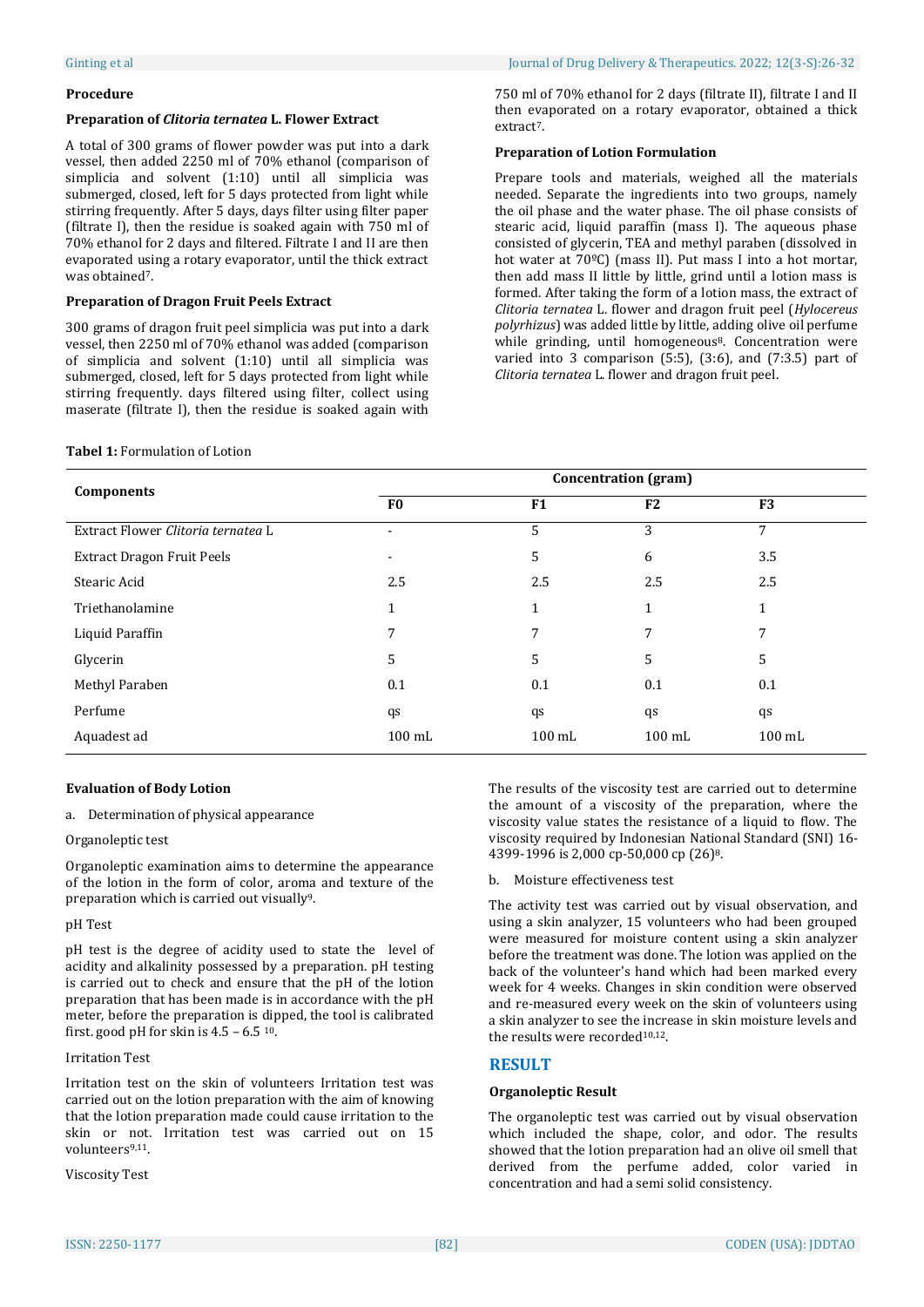#### **Procedure**

#### **Preparation of** *Clitoria ternatea* **L. Flower Extract**

A total of 300 grams of flower powder was put into a dark vessel, then added 2250 ml of 70% ethanol (comparison of simplicia and solvent (1:10) until all simplicia was submerged, closed, left for 5 days protected from light while stirring frequently. After 5 days, days filter using filter paper (filtrate I), then the residue is soaked again with 750 ml of 70% ethanol for 2 days and filtered. Filtrate I and II are then evaporated using a rotary evaporator, until the thick extract was obtained<sup>7</sup>.

### **Preparation of Dragon Fruit Peels Extract**

300 grams of dragon fruit peel simplicia was put into a dark vessel, then 2250 ml of 70% ethanol was added (comparison of simplicia and solvent (1:10) until all simplicia was submerged, closed, left for 5 days protected from light while stirring frequently. days filtered using filter, collect using maserate (filtrate I), then the residue is soaked again with

#### **Tabel 1:** Formulation of Lotion

750 ml of 70% ethanol for 2 days (filtrate II), filtrate I and II then evaporated on a rotary evaporator, obtained a thick extract<sup>7</sup>.

#### **Preparation of Lotion Formulation**

Prepare tools and materials, weighed all the materials needed. Separate the ingredients into two groups, namely the oil phase and the water phase. The oil phase consists of stearic acid, liquid paraffin (mass I). The aqueous phase consisted of glycerin, TEA and methyl paraben (dissolved in hot water at 70ºC) (mass II). Put mass I into a hot mortar, then add mass II little by little, grind until a lotion mass is formed. After taking the form of a lotion mass, the extract of *Clitoria ternatea* L. flower and dragon fruit peel (*Hylocereus polyrhizus*) was added little by little, adding olive oil perfume while grinding, until homogeneous<sup>8</sup>. Concentration were varied into 3 comparison (5:5), (3:6), and (7:3.5) part of *Clitoria ternatea* L. flower and dragon fruit peel.

| <b>Components</b>                  | <b>Concentration</b> (gram) |                  |                  |                  |  |  |  |  |
|------------------------------------|-----------------------------|------------------|------------------|------------------|--|--|--|--|
|                                    | F <sub>0</sub>              | F1               | F <sub>2</sub>   | F <sub>3</sub>   |  |  |  |  |
| Extract Flower Clitoria ternatea L | ۰                           | 5                | 3                | 7                |  |  |  |  |
| <b>Extract Dragon Fruit Peels</b>  |                             | 5                | 6                | 3.5              |  |  |  |  |
| Stearic Acid                       | 2.5                         | 2.5              | 2.5              | 2.5              |  |  |  |  |
| Triethanolamine                    | 1                           | 1                | 1                | 1                |  |  |  |  |
| Liquid Paraffin                    | 7                           | 7                | 7                |                  |  |  |  |  |
| Glycerin                           | 5                           | 5                | 5                | 5                |  |  |  |  |
| Methyl Paraben                     | 0.1                         | 0.1              | 0.1              | 0.1              |  |  |  |  |
| Perfume                            | qs                          | qs               | qs               | qs               |  |  |  |  |
| Aquadest ad                        | $100 \text{ mL}$            | $100 \text{ mL}$ | $100 \text{ mL}$ | $100 \text{ mL}$ |  |  |  |  |

## **Evaluation of Body Lotion**

a. Determination of physical appearance

## Organoleptic test

Organoleptic examination aims to determine the appearance of the lotion in the form of color, aroma and texture of the preparation which is carried out visually<sup>9</sup>.

#### pH Test

pH test is the degree of acidity used to state the level of acidity and alkalinity possessed by a preparation. pH testing is carried out to check and ensure that the pH of the lotion preparation that has been made is in accordance with the pH meter, before the preparation is dipped, the tool is calibrated first. good pH for skin is  $4.5 - 6.5$  <sup>10</sup>.

#### Irritation Test

Irritation test on the skin of volunteers Irritation test was carried out on the lotion preparation with the aim of knowing that the lotion preparation made could cause irritation to the skin or not. Irritation test was carried out on 15 volunteers9,11.

Viscosity Test

The results of the viscosity test are carried out to determine the amount of a viscosity of the preparation, where the viscosity value states the resistance of a liquid to flow. The viscosity required by Indonesian National Standard (SNI) 16- 4399-1996 is 2,000 cp-50,000 cp (26)8.

#### b. Moisture effectiveness test

The activity test was carried out by visual observation, and using a skin analyzer, 15 volunteers who had been grouped were measured for moisture content using a skin analyzer before the treatment was done. The lotion was applied on the back of the volunteer's hand which had been marked every week for 4 weeks. Changes in skin condition were observed and re-measured every week on the skin of volunteers using a skin analyzer to see the increase in skin moisture levels and the results were recorded<sup>10,12</sup>.

## **RESULT**

#### **Organoleptic Result**

The organoleptic test was carried out by visual observation which included the shape, color, and odor. The results showed that the lotion preparation had an olive oil smell that derived from the perfume added, color varied in concentration and had a semi solid consistency.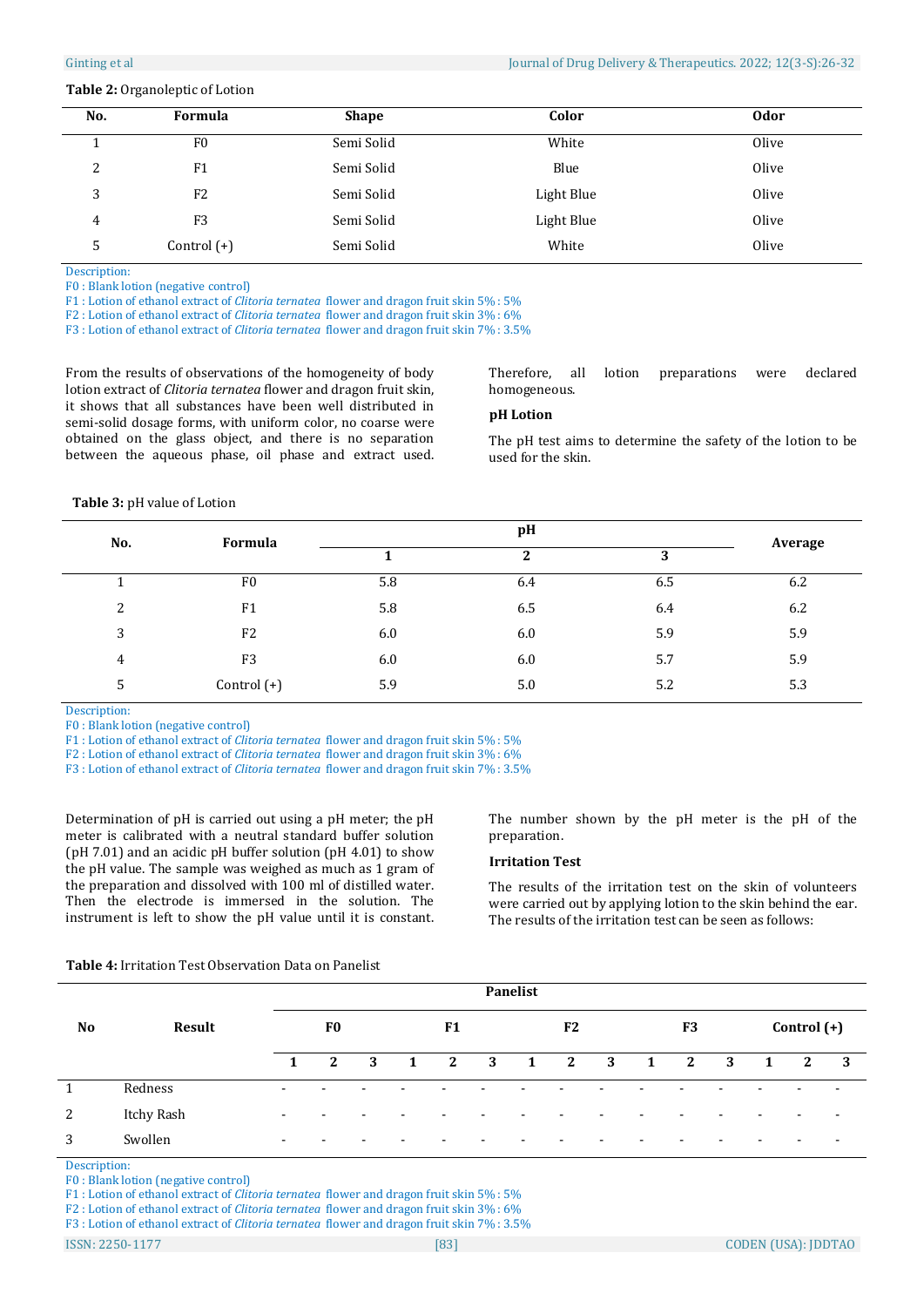#### **Table 2:** Organoleptic of Lotion

| No.    | Formula        | <b>Shape</b> | Color      | <b>Odor</b> |
|--------|----------------|--------------|------------|-------------|
|        | F <sub>0</sub> | Semi Solid   | White      | Olive       |
| っ<br>▵ | F1             | Semi Solid   | Blue       | Olive       |
| 3      | F <sub>2</sub> | Semi Solid   | Light Blue | Olive       |
| 4      | F <sub>3</sub> | Semi Solid   | Light Blue | Olive       |
| 5      | Control $(+)$  | Semi Solid   | White      | Olive       |

Description:

F0 : Blank lotion (negative control)

F1 : Lotion of ethanol extract of *Clitoria ternatea* flower and dragon fruit skin 5% : 5%

F2 : Lotion of ethanol extract of *Clitoria ternatea* flower and dragon fruit skin 3% : 6%

F3 : Lotion of ethanol extract of *Clitoria ternatea* flower and dragon fruit skin 7% : 3.5%

From the results of observations of the homogeneity of body lotion extract of *Clitoria ternatea* flower and dragon fruit skin, it shows that all substances have been well distributed in semi-solid dosage forms, with uniform color, no coarse were obtained on the glass object, and there is no separation between the aqueous phase, oil phase and extract used.

Therefore, all lotion preparations were declared homogeneous.

#### **pH Lotion**

The pH test aims to determine the safety of the lotion to be used for the skin.

 **Table 3:** pH value of Lotion

| No. | Formula        |     | Average |     |     |
|-----|----------------|-----|---------|-----|-----|
|     |                |     | 2       | 3   |     |
|     | F <sub>0</sub> | 5.8 | 6.4     | 6.5 | 6.2 |
| 2   | F1             | 5.8 | 6.5     | 6.4 | 6.2 |
| 3   | F <sub>2</sub> | 6.0 | 6.0     | 5.9 | 5.9 |
| 4   | F <sub>3</sub> | 6.0 | 6.0     | 5.7 | 5.9 |
| 5   | Control (+)    | 5.9 | 5.0     | 5.2 | 5.3 |

Description:

F0 : Blank lotion (negative control)

F1 : Lotion of ethanol extract of *Clitoria ternatea* flower and dragon fruit skin 5% : 5%

F2 : Lotion of ethanol extract of *Clitoria ternatea* flower and dragon fruit skin 3% : 6%

F3 : Lotion of ethanol extract of *Clitoria ternatea* flower and dragon fruit skin 7% : 3.5%

Determination of pH is carried out using a pH meter; the pH meter is calibrated with a neutral standard buffer solution (pH 7.01) and an acidic pH buffer solution (pH 4.01) to show the pH value. The sample was weighed as much as 1 gram of the preparation and dissolved with 100 ml of distilled water. Then the electrode is immersed in the solution. The instrument is left to show the pH value until it is constant.

The number shown by the pH meter is the pH of the preparation.

#### **Irritation Test**

The results of the irritation test on the skin of volunteers were carried out by applying lotion to the skin behind the ear. The results of the irritation test can be seen as follows:

#### **Table 4:** Irritation Test Observation Data on Panelist

|           |            | Panelist                 |                          |                          |  |                          |   |              |                          |   |              |                |   |   |                          |                          |
|-----------|------------|--------------------------|--------------------------|--------------------------|--|--------------------------|---|--------------|--------------------------|---|--------------|----------------|---|---|--------------------------|--------------------------|
| <b>No</b> | Result     |                          | F <sub>0</sub>           |                          |  | F <sub>1</sub>           |   |              | F <sub>2</sub>           |   |              | F <sub>3</sub> |   |   | $Control (+)$            |                          |
|           |            | $\mathbf{1}$             | 2                        | -3                       |  | 2                        | 3 | $\mathbf{1}$ | 2                        | 3 | $\mathbf{1}$ | 2              | 3 | 1 | 2                        | $\overline{\mathbf{3}}$  |
| 1         | Redness    | $\overline{\phantom{0}}$ | $\overline{\phantom{a}}$ | $\overline{\phantom{0}}$ |  | $\overline{\phantom{0}}$ |   |              | $\overline{\phantom{0}}$ |   |              |                |   |   | $\overline{\phantom{a}}$ | $\overline{\phantom{a}}$ |
| 2         | Itchy Rash | $\overline{\phantom{0}}$ | $\overline{\phantom{a}}$ |                          |  | $\overline{\phantom{0}}$ |   |              | $\overline{\phantom{0}}$ |   |              |                |   |   | $\overline{\phantom{0}}$ |                          |
| 3         | Swollen    | $\overline{\phantom{a}}$ | $\overline{\phantom{0}}$ |                          |  |                          |   |              |                          |   |              |                |   |   |                          |                          |

Description:

F0 : Blank lotion (negative control)

F1 : Lotion of ethanol extract of *Clitoria ternatea* flower and dragon fruit skin 5% : 5%

F2 : Lotion of ethanol extract of *Clitoria ternatea* flower and dragon fruit skin 3% : 6%

F3 : Lotion of ethanol extract of *Clitoria ternatea* flower and dragon fruit skin 7% : 3.5%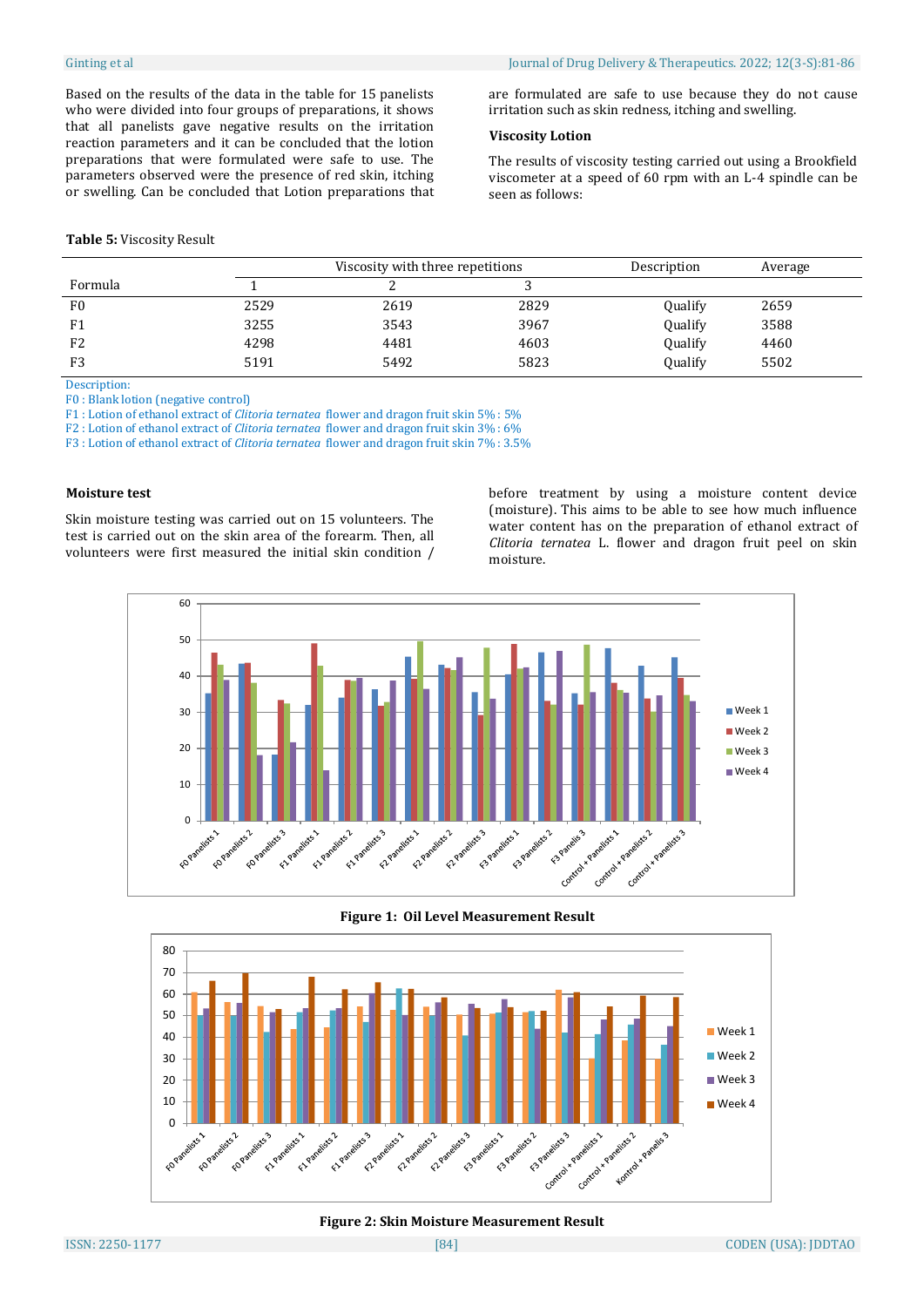Based on the results of the data in the table for 15 panelists who were divided into four groups of preparations, it shows that all panelists gave negative results on the irritation reaction parameters and it can be concluded that the lotion preparations that were formulated were safe to use. The parameters observed were the presence of red skin, itching or swelling. Can be concluded that Lotion preparations that

#### **Table 5:** Viscosity Result

are formulated are safe to use because they do not cause irritation such as skin redness, itching and swelling.

## **Viscosity Lotion**

The results of viscosity testing carried out using a Brookfield viscometer at a speed of 60 rpm with an L-4 spindle can be seen as follows:

|                |      | Viscosity with three repetitions |      | Description | Average |
|----------------|------|----------------------------------|------|-------------|---------|
| Formula        |      |                                  |      |             |         |
| F <sub>0</sub> | 2529 | 2619                             | 2829 | Qualify     | 2659    |
| F <sub>1</sub> | 3255 | 3543                             | 3967 | Qualify     | 3588    |
| F <sub>2</sub> | 4298 | 4481                             | 4603 | Qualify     | 4460    |
| F <sub>3</sub> | 5191 | 5492                             | 5823 | Qualify     | 5502    |

Description:

F0 : Blank lotion (negative control)

F1 : Lotion of ethanol extract of *Clitoria ternatea* flower and dragon fruit skin 5% : 5%

F2 : Lotion of ethanol extract of *Clitoria ternatea* flower and dragon fruit skin 3% : 6%

F3 : Lotion of ethanol extract of *Clitoria ternatea* flower and dragon fruit skin 7% : 3.5%

#### **Moisture test**

Skin moisture testing was carried out on 15 volunteers. The test is carried out on the skin area of the forearm. Then, all volunteers were first measured the initial skin condition / before treatment by using a moisture content device (moisture). This aims to be able to see how much influence water content has on the preparation of ethanol extract of *Clitoria ternatea* L. flower and dragon fruit peel on skin moisture.



**Figure 1: Oil Level Measurement Result**



**Figure 2: Skin Moisture Measurement Result**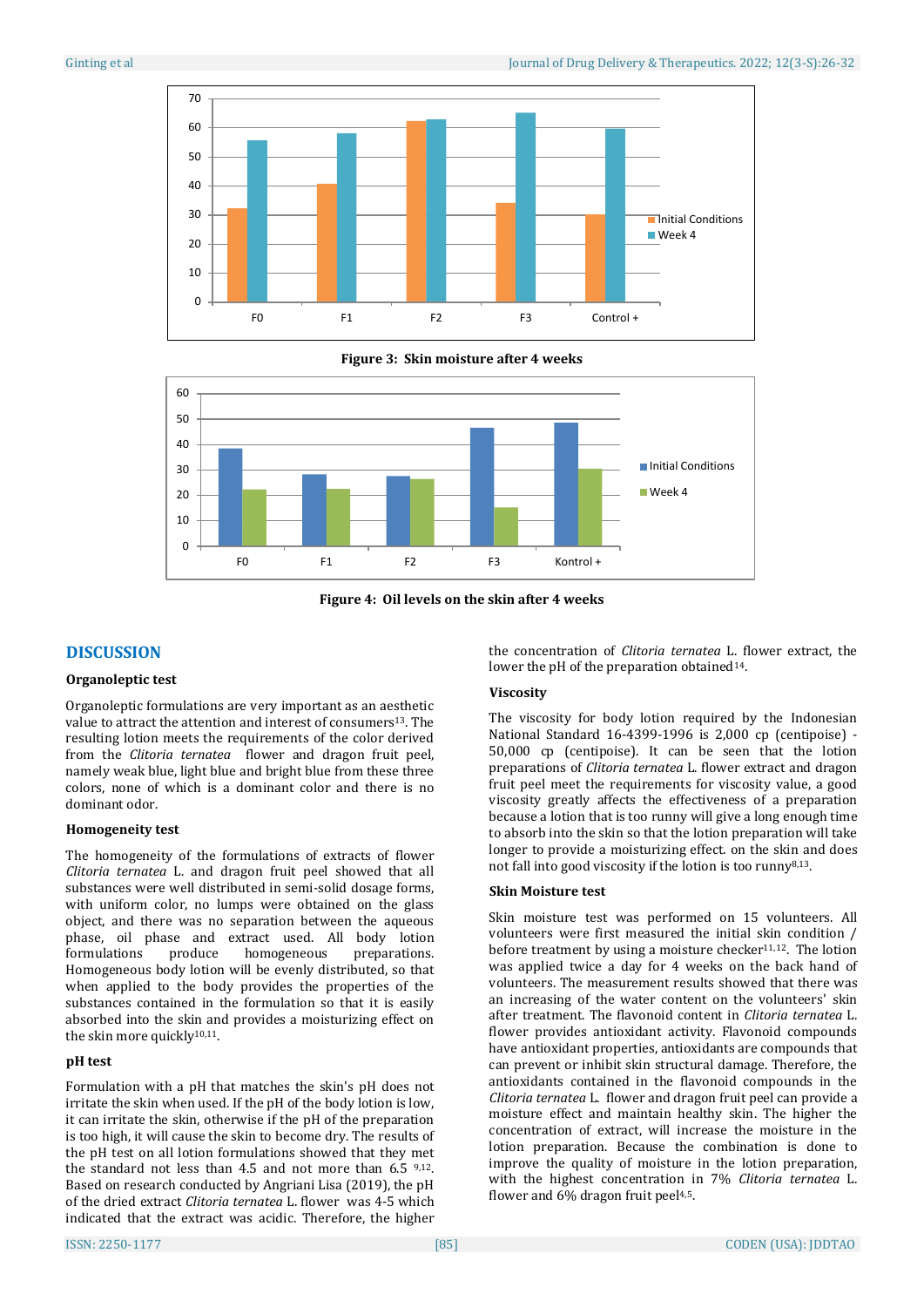

**Figure 3: Skin moisture after 4 weeks**



**Figure 4: Oil levels on the skin after 4 weeks**

# **DISCUSSION**

# **Organoleptic test**

Organoleptic formulations are very important as an aesthetic value to attract the attention and interest of consumers13. The resulting lotion meets the requirements of the color derived from the *Clitoria ternatea* flower and dragon fruit peel, namely weak blue, light blue and bright blue from these three colors, none of which is a dominant color and there is no dominant odor.

## **Homogeneity test**

The homogeneity of the formulations of extracts of flower *Clitoria ternatea* L. and dragon fruit peel showed that all substances were well distributed in semi-solid dosage forms, with uniform color, no lumps were obtained on the glass object, and there was no separation between the aqueous phase, oil phase and extract used. All body lotion formulations produce homogeneous preparations. Homogeneous body lotion will be evenly distributed, so that when applied to the body provides the properties of the substances contained in the formulation so that it is easily absorbed into the skin and provides a moisturizing effect on the skin more quickly<sup>10,11</sup>.

# **pH test**

Formulation with a pH that matches the skin's pH does not irritate the skin when used. If the pH of the body lotion is low, it can irritate the skin, otherwise if the pH of the preparation is too high, it will cause the skin to become dry. The results of the pH test on all lotion formulations showed that they met the standard not less than 4.5 and not more than 6.5 9,12. Based on research conducted by Angriani Lisa (2019), the pH of the dried extract *Clitoria ternatea* L. flower was 4-5 which indicated that the extract was acidic. Therefore, the higher

the concentration of *Clitoria ternatea* L. flower extract, the lower the pH of the preparation obtained<sup>14</sup>.

# **Viscosity**

The viscosity for body lotion required by the Indonesian National Standard 16-4399-1996 is 2,000 cp (centipoise) - 50,000 cp (centipoise). It can be seen that the lotion preparations of *Clitoria ternatea* L. flower extract and dragon fruit peel meet the requirements for viscosity value, a good viscosity greatly affects the effectiveness of a preparation because a lotion that is too runny will give a long enough time to absorb into the skin so that the lotion preparation will take longer to provide a moisturizing effect. on the skin and does not fall into good viscosity if the lotion is too runny8,13.

## **Skin Moisture test**

Skin moisture test was performed on 15 volunteers. All volunteers were first measured the initial skin condition / before treatment by using a moisture checker $11,12$ . The lotion was applied twice a day for 4 weeks on the back hand of volunteers. The measurement results showed that there was an increasing of the water content on the volunteers' skin after treatment. The flavonoid content in *Clitoria ternatea* L. flower provides antioxidant activity. Flavonoid compounds have antioxidant properties, antioxidants are compounds that can prevent or inhibit skin structural damage. Therefore, the antioxidants contained in the flavonoid compounds in the *Clitoria ternatea* L. flower and dragon fruit peel can provide a moisture effect and maintain healthy skin. The higher the concentration of extract, will increase the moisture in the lotion preparation. Because the combination is done to improve the quality of moisture in the lotion preparation, with the highest concentration in 7% *Clitoria ternatea* L. flower and  $6\%$  dragon fruit peel $4.5$ .